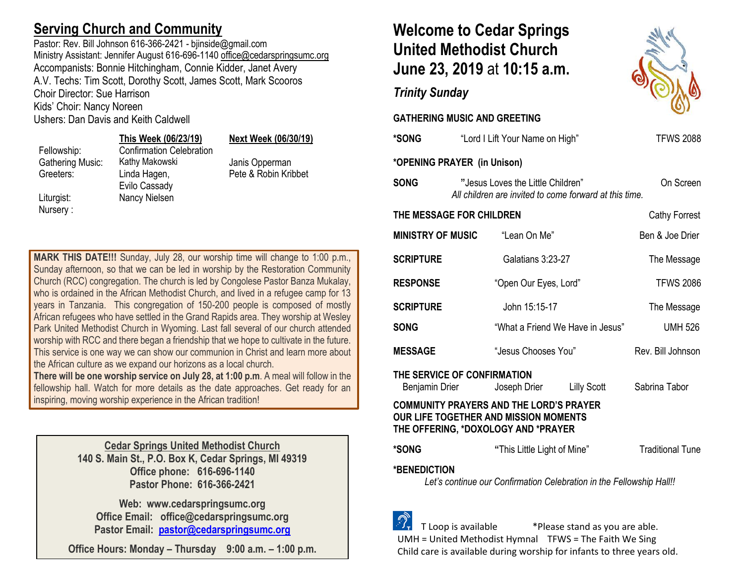## **Serving Church and Community**

Pastor: Rev. Bill Johnson 616-366-2421 - biinside@gmail.com Ministry Assistant: Jennifer August 616-696-1140 [office@cedarspringsumc.org](mailto:office@cedarspringsumc.org) Accompanists: Bonnie Hitchingham, Connie Kidder, Janet Avery A.V. Techs: Tim Scott, Dorothy Scott, James Scott, Mark Scooros Choir Director: Sue Harrison Kids' Choir: Nancy Noreen

Ushers: Dan Davis and Keith Caldwell

#### **This Week (06/23/19) Next Week (06/30/19)**

Nursery :

Fellowship: Confirmation Celebration Gathering Music: Kathy Makowski Janis Opperman Greeters: Linda Hagen, Evilo Cassady Liturgist: Nancy Nielsen

Pete & Robin Kribbet

**MARK THIS DATE!!!** Sunday, July 28, our worship time will change to 1:00 p.m., Sunday afternoon, so that we can be led in worship by the Restoration Community Church (RCC) congregation. The church is led by Congolese Pastor Banza Mukalay, who is ordained in the African Methodist Church, and lived in a refugee camp for 13 years in Tanzania. This congregation of 150-200 people is composed of mostly African refugees who have settled in the Grand Rapids area. They worship at Wesley Park United Methodist Church in Wyoming. Last fall several of our church attended worship with RCC and there began a friendship that we hope to cultivate in the future. This service is one way we can show our communion in Christ and learn more about the African culture as we expand our horizons as a local church.

**There will be one worship service on July 28, at 1:00 p.m**. A meal will follow in the fellowship hall. Watch for more details as the date approaches. Get ready for an inspiring, moving worship experience in the African tradition!

> **Cedar Springs United Methodist Church 140 S. Main St., P.O. Box K, Cedar Springs, MI 49319 Office phone: 616-696-1140 Pastor Phone: 616-366-2421**

**Web: www.cedarspringsumc.org Office Email: office@cedarspringsumc.org Pastor Email: [pastor@cedarspringsumc.org](mailto:pastor@cedarspringsumc.org)**

**Office Hours: Monday – Thursday 9:00 a.m. – 1:00 p.m.**

# **Welcome to Cedar Springs United Methodist Church June 23, 2019** at **10:15 a.m.**

## *Trinity Sunday*

### **GATHERING MUSIC AND GREETING**

| <b>*SONG</b>                                  |                                                                                             | "Lord I Lift Your Name on High"                                                                                                                                                                                                                                                                                                                                                      |                                  | <b>TFWS 2088</b>  |  |  |
|-----------------------------------------------|---------------------------------------------------------------------------------------------|--------------------------------------------------------------------------------------------------------------------------------------------------------------------------------------------------------------------------------------------------------------------------------------------------------------------------------------------------------------------------------------|----------------------------------|-------------------|--|--|
| *OPENING PRAYER (in Unison)                   |                                                                                             |                                                                                                                                                                                                                                                                                                                                                                                      |                                  |                   |  |  |
| <b>SONG</b>                                   | "Jesus Loves the Little Children"<br>All children are invited to come forward at this time. |                                                                                                                                                                                                                                                                                                                                                                                      |                                  | On Screen         |  |  |
| THE MESSAGE FOR CHILDREN<br>Cathy Forrest     |                                                                                             |                                                                                                                                                                                                                                                                                                                                                                                      |                                  |                   |  |  |
| <b>MINISTRY OF MUSIC</b>                      |                                                                                             | "Lean On Me"                                                                                                                                                                                                                                                                                                                                                                         |                                  | Ben & Joe Drier   |  |  |
| <b>SCRIPTURE</b>                              |                                                                                             | Galatians 3:23-27                                                                                                                                                                                                                                                                                                                                                                    |                                  | The Message       |  |  |
| <b>RESPONSE</b>                               |                                                                                             | "Open Our Eyes, Lord"                                                                                                                                                                                                                                                                                                                                                                |                                  | <b>TFWS 2086</b>  |  |  |
| <b>SCRIPTURE</b>                              |                                                                                             | John 15:15-17                                                                                                                                                                                                                                                                                                                                                                        |                                  | The Message       |  |  |
| <b>SONG</b>                                   |                                                                                             |                                                                                                                                                                                                                                                                                                                                                                                      | "What a Friend We Have in Jesus" | <b>UMH 526</b>    |  |  |
| <b>MESSAGE</b>                                |                                                                                             | "Jesus Chooses You"                                                                                                                                                                                                                                                                                                                                                                  |                                  | Rev. Bill Johnson |  |  |
| THE SERVICE OF CONFIRMATION<br>Benjamin Drier |                                                                                             | Joseph Drier                                                                                                                                                                                                                                                                                                                                                                         | Lilly Scott                      | Sabrina Tabor     |  |  |
| <b>AAIIIIIIIITVAAI</b>                        |                                                                                             | $\overline{M}$ $\overline{M}$ $\overline{M}$ $\overline{M}$ $\overline{M}$ $\overline{M}$ $\overline{M}$ $\overline{M}$ $\overline{M}$ $\overline{M}$ $\overline{M}$ $\overline{M}$ $\overline{M}$ $\overline{M}$ $\overline{M}$ $\overline{M}$ $\overline{M}$ $\overline{M}$ $\overline{M}$ $\overline{M}$ $\overline{M}$ $\overline{M}$ $\overline{M}$ $\overline{M}$ $\overline{$ |                                  |                   |  |  |

#### **COMMUNITY PRAYERS AND THE LORD'S PRAYER OUR LIFE TOGETHER AND MISSION MOMENTS THE OFFERING, \*DOXOLOGY AND \*PRAYER**

| *SONG | "This Little Light of Mine" | <b>Traditional Tune</b> |
|-------|-----------------------------|-------------------------|
|       |                             |                         |

**\*BENEDICTION**

*Let's continue our Confirmation Celebration in the Fellowship Hall!!*

 T Loop is available \*Please stand as you are able. UMH = United Methodist Hymnal TFWS = The Faith We Sing Child care is available during worship for infants to three years old.